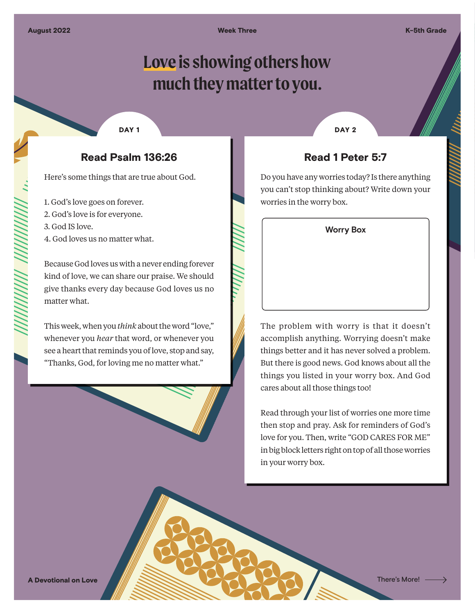Week Three Karen Communication of the K-5th Grade

# **Love is showing others how much they matter to you.**

#### DAY<sub>1</sub>

### Read Psalm 136:26

Here's some things that are true about God.

- 1. God's love goes on forever.
- 2. God's love is for everyone.
- 3. God IS love.
- 4. God loves us no matter what.

Because God loves us with a never ending forever kind of love, we can share our praise. We should give thanks every day because God loves us no matter what.

This week, when you *think* about the word "love," whenever you *hear* that word, or whenever you see a heart that reminds you of love, stop and say, "Thanks, God, for loving me no matter what."

DAY<sub>2</sub>

#### Read 1 Peter 5:7

Do you have any worries today? Is there anything you can't stop thinking about? Write down your worries in the worry box.



The problem with worry is that it doesn't accomplish anything. Worrying doesn't make things better and it has never solved a problem. But there is good news. God knows about all the things you listed in your worry box. And God cares about all those things too!

Read through your list of worries one more time then stop and pray. Ask for reminders of God's love for you. Then, write "GOD CARES FOR ME" in big block letters right on top of all those worries in your worry box.

A Devotional on Love